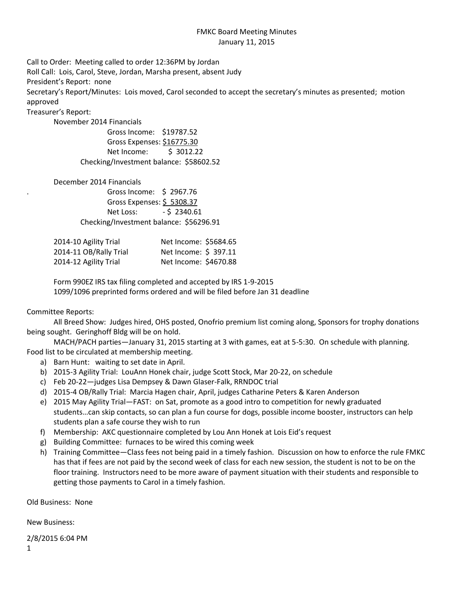## FMKC Board Meeting Minutes January 11, 2015

Call to Order: Meeting called to order 12:36PM by Jordan

Roll Call: Lois, Carol, Steve, Jordan, Marsha present, absent Judy

President's Report: none

Secretary's Report/Minutes: Lois moved, Carol seconded to accept the secretary's minutes as presented; motion approved

Treasurer's Report:

November 2014 Financials

Gross Income: \$19787.52 Gross Expenses: \$16775.30 Net Income: \$ 3012.22 Checking/Investment balance: \$58602.52

December 2014 Financials

. Gross Income: \$ 2967.76 Gross Expenses: \$ 5308.37 Net Loss: - \$ 2340.61 Checking/Investment balance: \$56296.91

| 2014-10 Agility Trial  | Net Income: \$5684.65 |  |
|------------------------|-----------------------|--|
| 2014-11 OB/Rally Trial | Net Income: \$ 397.11 |  |
| 2014-12 Agility Trial  | Net Income: \$4670.88 |  |

Form 990EZ IRS tax filing completed and accepted by IRS 1-9-2015 1099/1096 preprinted forms ordered and will be filed before Jan 31 deadline

Committee Reports:

All Breed Show: Judges hired, OHS posted, Onofrio premium list coming along, Sponsors for trophy donations being sought. Geringhoff Bldg will be on hold.

MACH/PACH parties—January 31, 2015 starting at 3 with games, eat at 5-5:30. On schedule with planning. Food list to be circulated at membership meeting.

- a) Barn Hunt: waiting to set date in April.
- b) 2015-3 Agility Trial: LouAnn Honek chair, judge Scott Stock, Mar 20-22, on schedule
- c) Feb 20-22—judges Lisa Dempsey & Dawn Glaser-Falk, RRNDOC trial
- d) 2015-4 OB/Rally Trial: Marcia Hagen chair, April, judges Catharine Peters & Karen Anderson
- e) 2015 May Agility Trial—FAST: on Sat, promote as a good intro to competition for newly graduated students…can skip contacts, so can plan a fun course for dogs, possible income booster, instructors can help students plan a safe course they wish to run
- f) Membership: AKC questionnaire completed by Lou Ann Honek at Lois Eid's request
- g) Building Committee: furnaces to be wired this coming week
- h) Training Committee—Class fees not being paid in a timely fashion. Discussion on how to enforce the rule FMKC has that if fees are not paid by the second week of class for each new session, the student is not to be on the floor training. Instructors need to be more aware of payment situation with their students and responsible to getting those payments to Carol in a timely fashion.

Old Business: None

New Business:

2/8/2015 6:04 PM